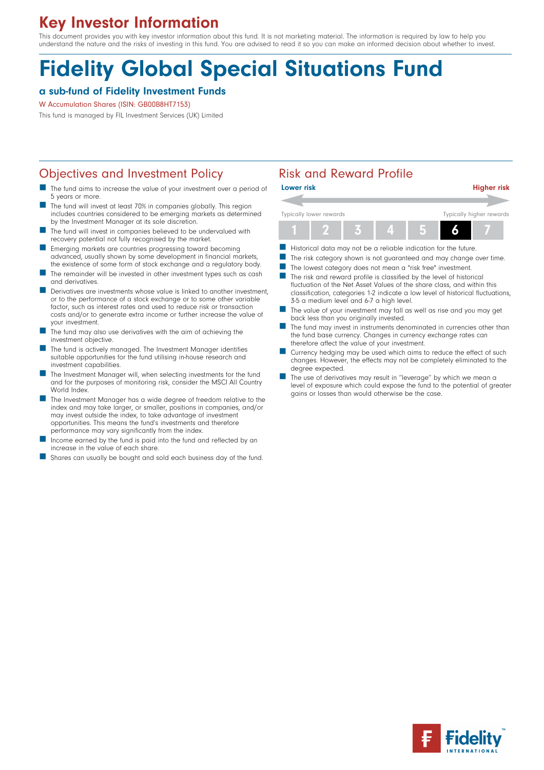# Key Investor Information

This document provides you with key investor information about this fund. It is not marketing material. The information is required by law to help you understand the nature and the risks of investing in this fund. You are advised to read it so you can make an informed decision about whether to invest.

# Fidelity Global Special Situations Fund

# a sub-fund of Fidelity Investment Funds

W Accumulation Shares (ISIN: GB00B8HT7153)

This fund is managed by FIL Investment Services (UK) Limited

# Objectives and Investment Policy **Risk and Reward Profile**

- The fund aims to increase the value of your investment over a period of 5 years or more.
- The fund will invest at least 70% in companies globally. This region includes countries considered to be emerging markets as determined by the Investment Manager at its sole discretion.
- The fund will invest in companies believed to be undervalued with recovery potential not fully recognised by the market.
- n Emerging markets are countries progressing toward becoming advanced, usually shown by some development in financial markets, the existence of some form of stock exchange and a regulatory body.
- The remainder will be invested in other investment types such as cash and derivatives.
- Derivatives are investments whose value is linked to another investment, or to the performance of a stock exchange or to some other variable factor, such as interest rates and used to reduce risk or transaction costs and/or to generate extra income or further increase the value of your investment.
- The fund may also use derivatives with the aim of achieving the investment objective.
- The fund is actively managed. The Investment Manager identifies suitable opportunities for the fund utilising in-house research and investment capabilities.
- The Investment Manager will, when selecting investments for the fund and for the purposes of monitoring risk, consider the MSCI All Country World Index
- The Investment Manager has a wide degree of freedom relative to the index and may take larger, or smaller, positions in companies, and/or may invest outside the index, to take advantage of investment opportunities. This means the fund's investments and therefore performance may vary significantly from the index.
- Income earned by the fund is paid into the fund and reflected by an increase in the value of each share.
- Shares can usually be bought and sold each business day of the fund.



- Historical data may not be a reliable indication for the future.
- The risk category shown is not guaranteed and may change over time.
- The lowest category does not mean a "risk free" investment.
- $\blacksquare$  The risk and reward profile is classified by the level of historical fluctuation of the Net Asset Values of the share class, and within this classification, categories 1-2 indicate a low level of historical fluctuations, 3-5 a medium level and 6-7 a high level.
- The value of your investment may fall as well as rise and you may get back less than you originally invested.
- The fund may invest in instruments denominated in currencies other than the fund base currency. Changes in currency exchange rates can therefore affect the value of your investment.
- Currency hedging may be used which aims to reduce the effect of such changes. However, the effects may not be completely eliminated to the degree expected.
- The use of derivatives may result in "leverage" by which we mean a level of exposure which could expose the fund to the potential of greater gains or losses than would otherwise be the case.